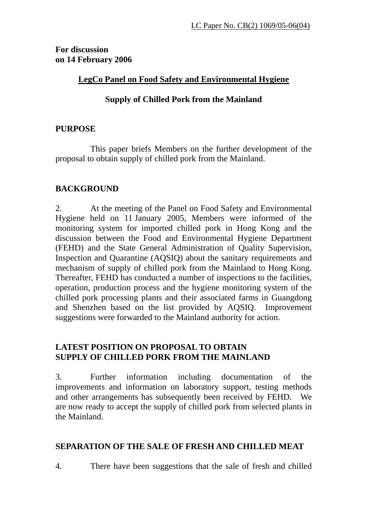**For discussion on 14 February 2006** 

## **LegCo Panel on Food Safety and Environmental Hygiene**

# **Supply of Chilled Pork from the Mainland**

## **PURPOSE**

 This paper briefs Members on the further development of the proposal to obtain supply of chilled pork from the Mainland.

## **BACKGROUND**

2. At the meeting of the Panel on Food Safety and Environmental Hygiene held on 11 January 2005, Members were informed of the monitoring system for imported chilled pork in Hong Kong and the discussion between the Food and Environmental Hygiene Department (FEHD) and the State General Administration of Quality Supervision, Inspection and Quarantine (AQSIQ) about the sanitary requirements and mechanism of supply of chilled pork from the Mainland to Hong Kong. Thereafter, FEHD has conducted a number of inspections to the facilities, operation, production process and the hygiene monitoring system of the chilled pork processing plants and their associated farms in Guangdong and Shenzhen based on the list provided by AQSIQ. Improvement suggestions were forwarded to the Mainland authority for action.

# **LATEST POSITION ON PROPOSAL TO OBTAIN SUPPLY OF CHILLED PORK FROM THE MAINLAND**

3. Further information including documentation of the improvements and information on laboratory support, testing methods and other arrangements has subsequently been received by FEHD. We are now ready to accept the supply of chilled pork from selected plants in the Mainland.

# **SEPARATION OF THE SALE OF FRESH AND CHILLED MEAT**

4. There have been suggestions that the sale of fresh and chilled